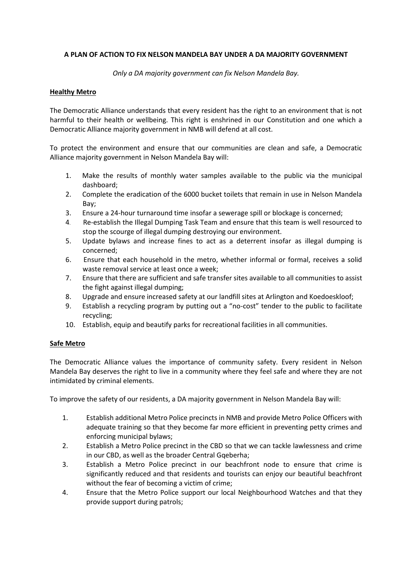# **A PLAN OF ACTION TO FIX NELSON MANDELA BAY UNDER A DA MAJORITY GOVERNMENT**

*Only a DA majority government can fix Nelson Mandela Bay.*

## **Healthy Metro**

The Democratic Alliance understands that every resident has the right to an environment that is not harmful to their health or wellbeing. This right is enshrined in our Constitution and one which a Democratic Alliance majority government in NMB will defend at all cost.

To protect the environment and ensure that our communities are clean and safe, a Democratic Alliance majority government in Nelson Mandela Bay will:

- 1. Make the results of monthly water samples available to the public via the municipal dashboard;
- 2. Complete the eradication of the 6000 bucket toilets that remain in use in Nelson Mandela Bay;
- 3. Ensure a 24-hour turnaround time insofar a sewerage spill or blockage is concerned;
- 4. Re-establish the Illegal Dumping Task Team and ensure that this team is well resourced to stop the scourge of illegal dumping destroying our environment.
- 5. Update bylaws and increase fines to act as a deterrent insofar as illegal dumping is concerned;
- 6. Ensure that each household in the metro, whether informal or formal, receives a solid waste removal service at least once a week;
- 7. Ensure that there are sufficient and safe transfer sites available to all communities to assist the fight against illegal dumping;
- 8. Upgrade and ensure increased safety at our landfill sites at Arlington and Koedoeskloof;
- 9. Establish a recycling program by putting out a "no-cost" tender to the public to facilitate recycling;
- 10. Establish, equip and beautify parks for recreational facilities in all communities.

#### **Safe Metro**

The Democratic Alliance values the importance of community safety. Every resident in Nelson Mandela Bay deserves the right to live in a community where they feel safe and where they are not intimidated by criminal elements.

To improve the safety of our residents, a DA majority government in Nelson Mandela Bay will:

- 1. Establish additional Metro Police precincts in NMB and provide Metro Police Officers with adequate training so that they become far more efficient in preventing petty crimes and enforcing municipal bylaws;
- 2. Establish a Metro Police precinct in the CBD so that we can tackle lawlessness and crime in our CBD, as well as the broader Central Gqeberha;
- 3. Establish a Metro Police precinct in our beachfront node to ensure that crime is significantly reduced and that residents and tourists can enjoy our beautiful beachfront without the fear of becoming a victim of crime;
- 4. Ensure that the Metro Police support our local Neighbourhood Watches and that they provide support during patrols;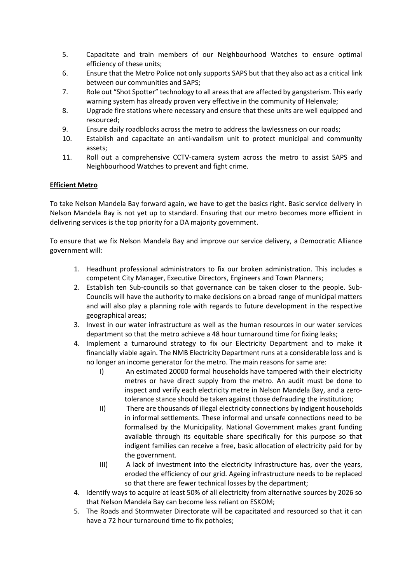- 5. Capacitate and train members of our Neighbourhood Watches to ensure optimal efficiency of these units;
- 6. Ensure that the Metro Police not only supports SAPS but that they also act as a critical link between our communities and SAPS;
- 7. Role out "Shot Spotter" technology to all areas that are affected by gangsterism. This early warning system has already proven very effective in the community of Helenvale;
- 8. Upgrade fire stations where necessary and ensure that these units are well equipped and resourced;
- 9. Ensure daily roadblocks across the metro to address the lawlessness on our roads;
- 10. Establish and capacitate an anti-vandalism unit to protect municipal and community assets;
- 11. Roll out a comprehensive CCTV-camera system across the metro to assist SAPS and Neighbourhood Watches to prevent and fight crime.

# **Efficient Metro**

To take Nelson Mandela Bay forward again, we have to get the basics right. Basic service delivery in Nelson Mandela Bay is not yet up to standard. Ensuring that our metro becomes more efficient in delivering services is the top priority for a DA majority government.

To ensure that we fix Nelson Mandela Bay and improve our service delivery, a Democratic Alliance government will:

- 1. Headhunt professional administrators to fix our broken administration. This includes a competent City Manager, Executive Directors, Engineers and Town Planners;
- 2. Establish ten Sub-councils so that governance can be taken closer to the people. Sub-Councils will have the authority to make decisions on a broad range of municipal matters and will also play a planning role with regards to future development in the respective geographical areas;
- 3. Invest in our water infrastructure as well as the human resources in our water services department so that the metro achieve a 48 hour turnaround time for fixing leaks;
- 4. Implement a turnaround strategy to fix our Electricity Department and to make it financially viable again. The NMB Electricity Department runs at a considerable loss and is no longer an income generator for the metro. The main reasons for same are:
	- I) An estimated 20000 formal households have tampered with their electricity metres or have direct supply from the metro. An audit must be done to inspect and verify each electricity metre in Nelson Mandela Bay, and a zerotolerance stance should be taken against those defrauding the institution;
	- II) There are thousands of illegal electricity connections by indigent households in informal settlements. These informal and unsafe connections need to be formalised by the Municipality. National Government makes grant funding available through its equitable share specifically for this purpose so that indigent families can receive a free, basic allocation of electricity paid for by the government.
	- III) A lack of investment into the electricity infrastructure has, over the years, eroded the efficiency of our grid. Ageing infrastructure needs to be replaced so that there are fewer technical losses by the department;
- 4. Identify ways to acquire at least 50% of all electricity from alternative sources by 2026 so that Nelson Mandela Bay can become less reliant on ESKOM;
- 5. The Roads and Stormwater Directorate will be capacitated and resourced so that it can have a 72 hour turnaround time to fix potholes;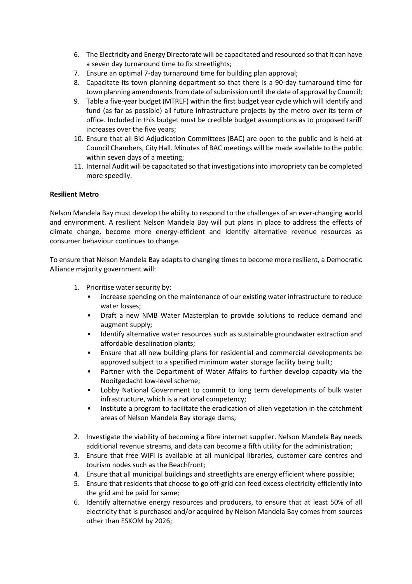- 6. The Electricity and Energy Directorate will be capacitated and resourced so that it can have a seven day turnaround time to fix streetlights;
- 7. Ensure an optimal 7-day turnaround time for building plan approval;
- 8. Capacitate its town planning department so that there is a 90-day turnaround time for town planning amendments from date of submission until the date of approval by Council;
- 9. Table a five-year budget (MTREF) within the first budget year cycle which will identify and fund (as far as possible) all future infrastructure projects by the metro over its term of office. Included in this budget must be credible budget assumptions as to proposed tariff increases over the five years;
- 10. Ensure that all Bid Adjudication Committees (BAC) are open to the public and is held at Council Chambers, City Hall. Minutes of BAC meetings will be made available to the public within seven days of a meeting;
- 11. Internal Audit will be capacitated so that investigations into impropriety can be completed more speedily.

# **Resilient Metro**

Nelson Mandela Bay must develop the ability to respond to the challenges of an ever-changing world and environment. A resilient Nelson Mandela Bay will put plans in place to address the effects of climate change, become more energy-efficient and identify alternative revenue resources as consumer behaviour continues to change.

To ensure that Nelson Mandela Bay adapts to changing times to become more resilient, a Democratic Alliance majority government will:

- 1. Prioritise water security by:
	- increase spending on the maintenance of our existing water infrastructure to reduce water losses;
	- Draft a new NMB Water Masterplan to provide solutions to reduce demand and augment supply;
	- Identify alternative water resources such as sustainable groundwater extraction and affordable desalination plants;
	- Ensure that all new building plans for residential and commercial developments be approved subject to a specified minimum water storage facility being built;
	- Partner with the Department of Water Affairs to further develop capacity via the Nooitgedacht low-level scheme;
	- Lobby National Government to commit to long term developments of bulk water infrastructure, which is a national competency;
	- Institute a program to facilitate the eradication of alien vegetation in the catchment areas of Nelson Mandela Bay storage dams;
- 2. Investigate the viability of becoming a fibre internet supplier. Nelson Mandela Bay needs additional revenue streams, and data can become a fifth utility for the administration;
- 3. Ensure that free WIFI is available at all municipal libraries, customer care centres and tourism nodes such as the Beachfront;
- 4. Ensure that all municipal buildings and streetlights are energy efficient where possible;
- 5. Ensure that residents that choose to go off-grid can feed excess electricity efficiently into the grid and be paid for same;
- 6. Identify alternative energy resources and producers, to ensure that at least 50% of all electricity that is purchased and/or acquired by Nelson Mandela Bay comes from sources other than ESKOM by 2026;